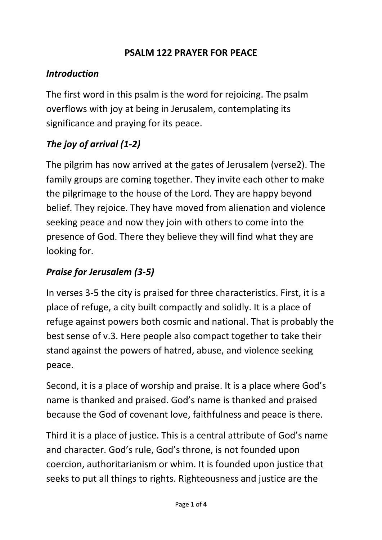#### **PSALM 122 PRAYER FOR PEACE**

#### *Introduction*

The first word in this psalm is the word for rejoicing. The psalm overflows with joy at being in Jerusalem, contemplating its significance and praying for its peace.

## *The joy of arrival (1-2)*

The pilgrim has now arrived at the gates of Jerusalem (verse2). The family groups are coming together. They invite each other to make the pilgrimage to the house of the Lord. They are happy beyond belief. They rejoice. They have moved from alienation and violence seeking peace and now they join with others to come into the presence of God. There they believe they will find what they are looking for.

### *Praise for Jerusalem (3-5)*

In verses 3-5 the city is praised for three characteristics. First, it is a place of refuge, a city built compactly and solidly. It is a place of refuge against powers both cosmic and national. That is probably the best sense of v.3. Here people also compact together to take their stand against the powers of hatred, abuse, and violence seeking peace.

Second, it is a place of worship and praise. It is a place where God's name is thanked and praised. God's name is thanked and praised because the God of covenant love, faithfulness and peace is there.

Third it is a place of justice. This is a central attribute of God's name and character. God's rule, God's throne, is not founded upon coercion, authoritarianism or whim. It is founded upon justice that seeks to put all things to rights. Righteousness and justice are the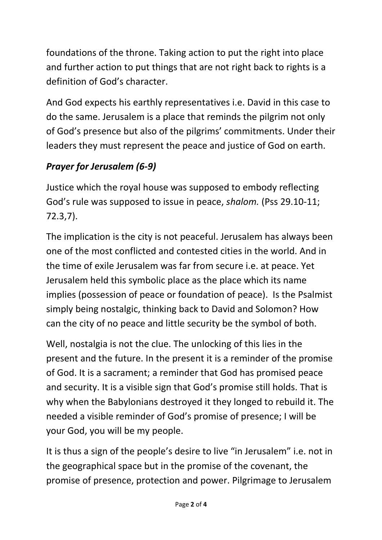foundations of the throne. Taking action to put the right into place and further action to put things that are not right back to rights is a definition of God's character.

And God expects his earthly representatives i.e. David in this case to do the same. Jerusalem is a place that reminds the pilgrim not only of God's presence but also of the pilgrims' commitments. Under their leaders they must represent the peace and justice of God on earth.

# *Prayer for Jerusalem (6-9)*

Justice which the royal house was supposed to embody reflecting God's rule was supposed to issue in peace, *shalom.* (Pss 29.10-11; 72.3,7).

The implication is the city is not peaceful. Jerusalem has always been one of the most conflicted and contested cities in the world. And in the time of exile Jerusalem was far from secure i.e. at peace. Yet Jerusalem held this symbolic place as the place which its name implies (possession of peace or foundation of peace). Is the Psalmist simply being nostalgic, thinking back to David and Solomon? How can the city of no peace and little security be the symbol of both.

Well, nostalgia is not the clue. The unlocking of this lies in the present and the future. In the present it is a reminder of the promise of God. It is a sacrament; a reminder that God has promised peace and security. It is a visible sign that God's promise still holds. That is why when the Babylonians destroyed it they longed to rebuild it. The needed a visible reminder of God's promise of presence; I will be your God, you will be my people.

It is thus a sign of the people's desire to live "in Jerusalem" i.e. not in the geographical space but in the promise of the covenant, the promise of presence, protection and power. Pilgrimage to Jerusalem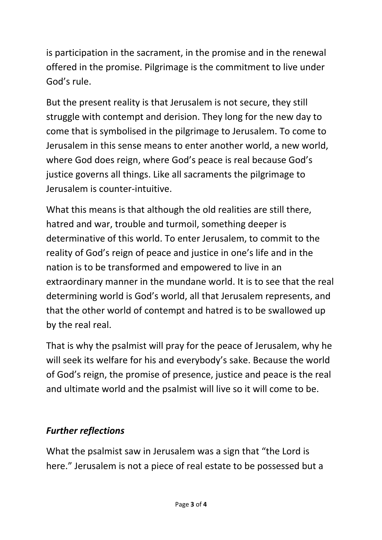is participation in the sacrament, in the promise and in the renewal offered in the promise. Pilgrimage is the commitment to live under God's rule.

But the present reality is that Jerusalem is not secure, they still struggle with contempt and derision. They long for the new day to come that is symbolised in the pilgrimage to Jerusalem. To come to Jerusalem in this sense means to enter another world, a new world, where God does reign, where God's peace is real because God's justice governs all things. Like all sacraments the pilgrimage to Jerusalem is counter-intuitive.

What this means is that although the old realities are still there, hatred and war, trouble and turmoil, something deeper is determinative of this world. To enter Jerusalem, to commit to the reality of God's reign of peace and justice in one's life and in the nation is to be transformed and empowered to live in an extraordinary manner in the mundane world. It is to see that the real determining world is God's world, all that Jerusalem represents, and that the other world of contempt and hatred is to be swallowed up by the real real.

That is why the psalmist will pray for the peace of Jerusalem, why he will seek its welfare for his and everybody's sake. Because the world of God's reign, the promise of presence, justice and peace is the real and ultimate world and the psalmist will live so it will come to be.

### *Further reflections*

What the psalmist saw in Jerusalem was a sign that "the Lord is here." Jerusalem is not a piece of real estate to be possessed but a